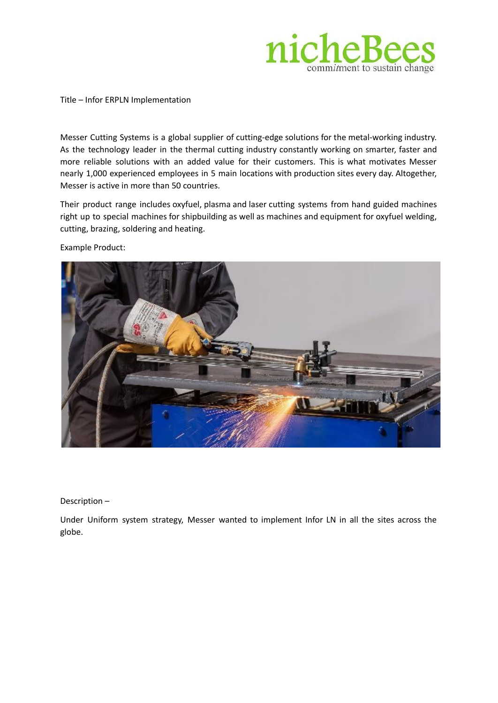

Title – Infor ERPLN Implementation

Messer Cutting Systems is a global supplier of cutting-edge solutions for the metal-working industry. As the technology leader in the thermal cutting industry constantly working on smarter, faster and more reliable solutions with an added value for their customers. This is what motivates Messer nearly 1,000 experienced employees in 5 main locations with production sites every day. Altogether, Messer is active in more than 50 countries.

Their product range includes oxyfuel, plasma and laser cutting systems from hand guided machines right up to special machines for shipbuilding as well as machines and equipment for oxyfuel welding, cutting, brazing, soldering and heating.

Example Product:



Description –

Under Uniform system strategy, Messer wanted to implement Infor LN in all the sites across the globe.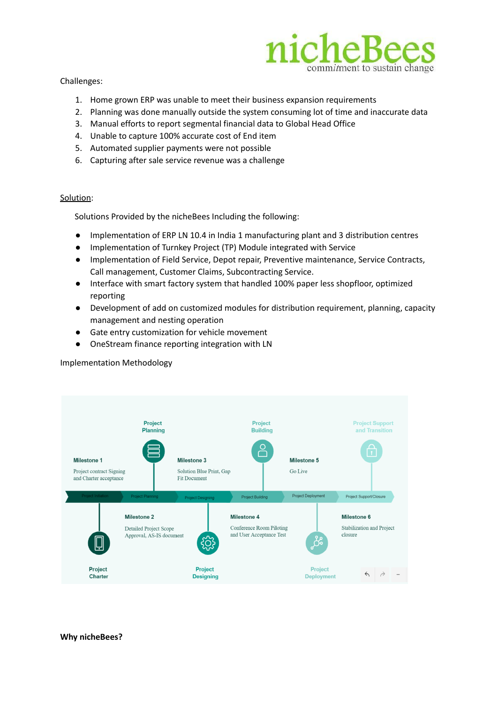

Challenges:

- 1. Home grown ERP was unable to meet their business expansion requirements
- 2. Planning was done manually outside the system consuming lot of time and inaccurate data
- 3. Manual efforts to report segmental financial data to Global Head Office
- 4. Unable to capture 100% accurate cost of End item
- 5. Automated supplier payments were not possible
- 6. Capturing after sale service revenue was a challenge

## Solution:

Solutions Provided by the nicheBees Including the following:

- Implementation of ERP LN 10.4 in India 1 manufacturing plant and 3 distribution centres
- Implementation of Turnkey Project (TP) Module integrated with Service
- Implementation of Field Service, Depot repair, Preventive maintenance, Service Contracts, Call management, Customer Claims, Subcontracting Service.
- Interface with smart factory system that handled 100% paper less shopfloor, optimized reporting
- Development of add on customized modules for distribution requirement, planning, capacity management and nesting operation
- Gate entry customization for vehicle movement
- OneStream finance reporting integration with LN

Implementation Methodology